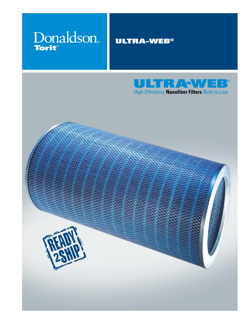

### Ultra-Web®



High Efficiency Nanofiber Filters Built to Last

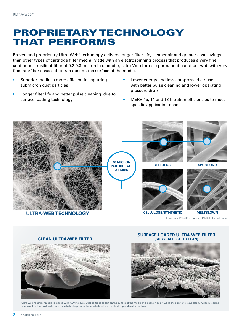### Proprietary technology that performs

Proven and proprietary Ultra-Web® technology delivers longer filter life, cleaner air and greater cost savings than other types of cartridge filter media. Made with an electrospinning process that produces a very fine, continuous, resilient fiber of 0.2-0.3 micron in diameter, Ultra-Web forms a permanent nanofiber web with very fine interfiber spaces that trap dust on the surface of the media.

- Superior media is more efficient in capturing submicron dust particles
- Longer filter life and better pulse cleaning due to surface loading technology
- Lower energy and less compressed air use with better pulse cleaning and lower operating pressure drop
- MERV 15, 14 and 13 filtration efficiencies to meet specific application needs



1 micron = 1/25,400 of an inch (1/1,000 of a millimeter)



**Clean Ultra-Web Filter (substrate still clean)**

**Surface-Loaded Ultra-Web Filter** 



Ultra-Web nanofiber media is loaded with ISO fine dust. Dust particles collect on the surface of the media and clean off easily while the substrate stays clean. A depth-loading filter would allow dust particles to penetrate deeply into the substrate where they build up and restrict airflow.

2 Donaldson Torit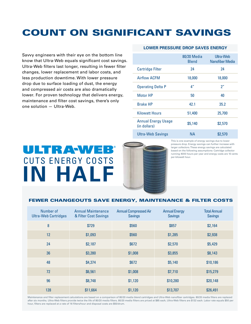## Count on significant savings

Savvy engineers with their eye on the bottom line know that Ultra-Web equals significant cost savings. Ultra-Web filters last longer, resulting in fewer filter changes, lower replacement and labor costs, and less production downtime. With lower pressure drop due to surface loading of dust, the energy and compressed air costs are also dramatically lower. For proven technology that delivers energy, maintenance and filter cost savings, there's only one solution — Ultra-Web.

#### **Lower Pressure Drop Saves Energy**

|                                            | 80/20 Media<br><b>Blend</b> | Ultra-Web<br>Nanofiber Media |
|--------------------------------------------|-----------------------------|------------------------------|
| <b>Cartridge Filter</b>                    | 24                          | 24                           |
| Airflow ACFM                               | 18,000                      | 18,000                       |
| <b>Operating Delta P</b>                   | 4 <sup>''</sup>             | 2 <sup>n</sup>               |
| <b>Motor HP</b>                            | 50                          | 40                           |
| <b>Brake HP</b>                            | 42.1                        | 35.2                         |
| <b>Kilowatt Hours</b>                      | 51,400                      | 25,700                       |
| <b>Annual Energy Usage</b><br>(in dollars) | \$5,140                     | \$2,570                      |
| <b>Ultra-Web Savings</b>                   | NА                          | \$2,570                      |

# ULTRAWEB CUTS ENERGY COSTS **In HALF**

This is one example of energy savings due to lower pressure drop. Energy savings can further increase with larger collectors. These energy savings are calculated based on the following assumptions: Cartridge collector running 4000 hours per year and energy costs are 10 cents per kilowatt hour.

#### Fewer Changeouts Save Energy, Maintenance & Filter Costs

| Number of<br><b>Ultra-Web Cartridges</b> | <b>Annual Maintenance</b><br>& Filter Cost Savings | <b>Annual Compressed Air</b><br><b>Savings</b> | <b>Annual Energy</b><br><b>Savings</b> | <b>Total Annual</b><br><b>Savings</b> |
|------------------------------------------|----------------------------------------------------|------------------------------------------------|----------------------------------------|---------------------------------------|
| 8                                        | \$729                                              | \$560                                          | \$857                                  | \$2,164                               |
| 12                                       | \$1,093                                            | \$560                                          | \$1,285                                | \$2,938                               |
| 24                                       | \$2,187                                            | \$672                                          | \$2,570                                | \$5,429                               |
| 36                                       | \$3,280                                            | \$1,008                                        | \$3,855                                | \$8,143                               |
| 48                                       | \$4,374                                            | \$672                                          | \$5,140                                | \$10,186                              |
| 72                                       | \$6,561                                            | \$1,008                                        | \$7,710                                | \$15,279                              |
| 96                                       | \$8,748                                            | \$1,120                                        | \$10,280                               | \$20,148                              |
| 128                                      | \$11,664                                           | \$1,120                                        | \$13,707                               | \$26,491                              |

Maintenance and filter replacement calculations are based on a comparison of 80/20 media blend cartridges and Ultra-Web nanofiber cartridges, 80/20 media filters are replaced after six months. Ultra-Web filters provide twice the life of 80/20 media filters. 80/20 media filters are priced at \$85 each, Ultra-Web filters are \$132 each. Labor rate equals \$50 per hour, filters are replaced at a rate of 16 filters/hour and disposal costs are \$50/drum.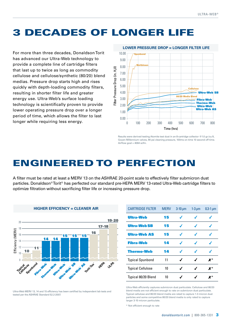### 3 decades of longer life

For more than three decades, Donaldson Torit has advanced our Ultra-Web technology to provide a complete line of cartridge filters that last up to twice as long as commodity cellulose and cellulose/synthetic (80/20) blend medias. Pressure drop starts high and rises quickly with depth-loading commodity filters, resulting in shorter filter life and greater energy use. Ultra-Web's surface loading technology is scientifically proven to provide lower operating pressure drop over a longer period of time, which allows the filter to last longer while requiring less energy.



Results were derived testing Atomite test dust in an 8-cartridge collector @1.0 gr./cu.ft, Goyen Millennium valves, 90 psi cleaning pressure, 100ms on time 10 second off time. Airflow goal =  $4064$  scfm.

### Engineered to Perfection

A filter must be rated at least a MERV 13 on the ASHRAE 20-point scale to effectively filter submicron dust particles. Donaldson® Torit® has perfected our standard pre-HEPA MERV 13-rated Ultra-Web cartridge filters to optimize filtration without sacrificing filter life or increasing pressure drop.



|  | HIGHER EFFICIENCY = CLEANER AIR |  |  |
|--|---------------------------------|--|--|
|--|---------------------------------|--|--|

Ultra-Web MERV 13, 14 and 15 efficiency has been certified by independent lab tests and tested per the ASHRAE Standard 52.2-2007.

| <b>CARTRIDGE FILTER</b>  | <b>MERV</b> | $3-10 \mu m$ | $1-3 \mu m$ | $0.3-1 \mu m$      |
|--------------------------|-------------|--------------|-------------|--------------------|
| <b>Ultra-Web</b>         | 15          |              |             |                    |
| <b>Ultra-Web SB</b>      | 15          | ◢            |             |                    |
| <b>Ultra-Web AS</b>      | 15          | ◢            | ◢           |                    |
| <b>Fibra-Web</b>         | 14          |              |             |                    |
| <b>Thermo-Web</b>        | 14          |              |             |                    |
| <b>Typical Spunbond</b>  | 11          | ◢            | J           | $\boldsymbol{X}^*$ |
| <b>Typical Cellulose</b> | 10          | ℐ            | ◢           | X*                 |
| Typical 80/20 Blend      | 10          |              |             | Y*                 |

Ultra-Web efficiently captures submicron dust particulate. Cellulose and 80/20 blend media are not efficient enough to rate on submicron dust particulate. Typical cellulose and 80/20 blend media are rated to capture 1-3 micron dust particles and some competitive 80/20 blend media is only rated to capture larger 3-10 micron particulate.

\* Not efficient enough to rate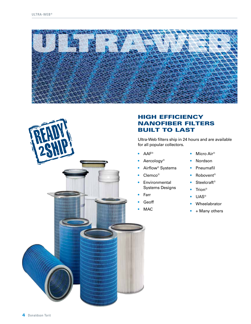



### high efficiency nanofiber filters **BUILT TO LAST**

Ultra-Web filters ship in 24 hours and are available for all popular collectors.

- AAF<sup>®</sup>
- Aercology<sup>®</sup>
- **•** Airflow<sup>®</sup> Systems
- Clemco<sup>®</sup>
- **•** Environmental Systems Designs
- • Farr
- **Geoff**
- MAC
- Micro Air<sup>®</sup>
- Nordson
- • Pneumafil
- Robovent<sup>®</sup>
- Steelcraft<sup>®</sup>
- Trion®
- UAS<sup>®</sup>
- • Wheelabrator
- $+$  Many others